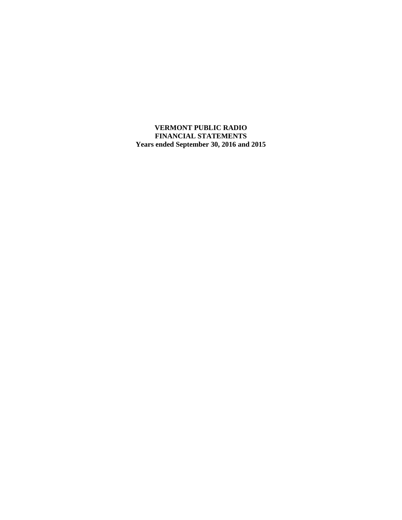**VERMONT PUBLIC RADIO FINANCIAL STATEMENTS Years ended September 30, 2016 and 2015**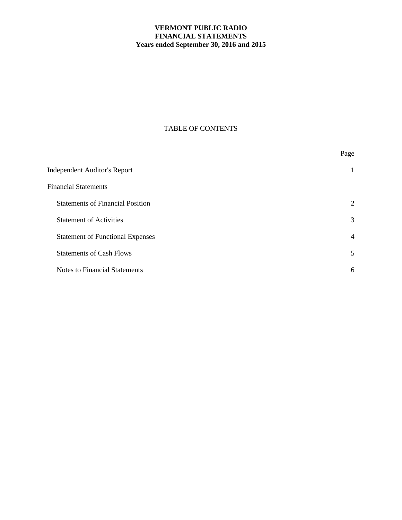# **VERMONT PUBLIC RADIO FINANCIAL STATEMENTS Years ended September 30, 2016 and 2015**

# TABLE OF CONTENTS

|                                         | Page           |
|-----------------------------------------|----------------|
| <b>Independent Auditor's Report</b>     | 1              |
| <b>Financial Statements</b>             |                |
| <b>Statements of Financial Position</b> | 2              |
| <b>Statement of Activities</b>          | 3              |
| <b>Statement of Functional Expenses</b> | $\overline{4}$ |
| <b>Statements of Cash Flows</b>         | 5              |
| <b>Notes to Financial Statements</b>    | 6              |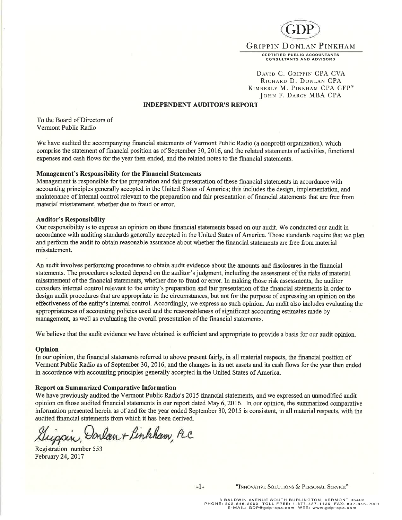

DAVID C. GRIPPIN CPA CVA RICHARD D. DONLAN CPA KIMBERLY M. PINKHAM CPA CFP® JOHN F. DARCY MBA CPA

#### INDEPENDENT ATJDITOR'S REPORT

To the Board of Directors of Verrnont Public Radio

We have audited the accompanying financial statements of Vermont Public Radio (a nonprofit organization), which comprise the statement of financial position as of Septembet 30,2016, and the related statements of activities, functional expenses and cash flows for the year then ended, and the related notes to the financial statements.

#### Management's Responsibility for the Financial Statements

Management is responsible for the preparation and fair presentation of these fìnancial statements in accordance with accounting principles generally accepted in the United States of America; this includes the desigr, implementation, and maintenance of internal control relevant to the preparation and fair presentation of financial statements that are free from material misstatement, whether due to fraud or error.

#### Auditor's Responsibility

Our responsibility is to express an opinion on these financial statements based on our audit. We conducted our audit in accordance with auditing standards generally accepted in the United States of America. Those standards require that we plan and perforrn the audit to obtain reasonable assurance about whether the financial statements are free from material misstatement.

An audit involves performing procedures to obtain audit evidence about the amounts and disclosures in the financial statements. The procedwes selected depend on the auditor's judgment, including the assessment of the risks of material misstatement of the financial statements, whether due to fraud or error. In making those risk assessments, the auditor considers intemal control relevant to the entity's preparation and fair presentation of the financial statements in order to design audit procedures that are appropriate in the circumstances, but not for the purpose of expressing an opinion on the effectiveness of the entity's internal control. Accordingly, we express no such opinion. An audit also includes evaluating the appropriateness of accounting policies used and the reasonableness of significant accounting estimates made by management, as well as evaluating the overall presentation of the financial statements.

We believe that the audit evidence we have obtained is sufficient and appropriate to provide a basis for our audit opinion.

#### Opinion

In our opinion, the financial statements referred to above present fairly, in all material respects, the financial position of Vermont Public Radio as of September 30,2016, and the changes in its net assets and its cash flows for the year then ended in accordance with accounting principles generally accepted in the United States of America.

#### Report on Summarized Comparative Information

We have previously audited the Vermont Public Radio's 2015 financial statements, and we expressed an unmodified audit opinion on those audited financial statements in our report dated May 6,2016. In our opinion, the summarized comparative information presented herein as of and for the year ended September 30, 2015 is consistent, in all material respects, with the audited financial statements from which it has been derived.

uppin, Donlan + Pinkham, PLC

Registration number 553 February 24,2017

-1- "INNOVATIVE SOLUTIONS & PERSONAL SERVICE"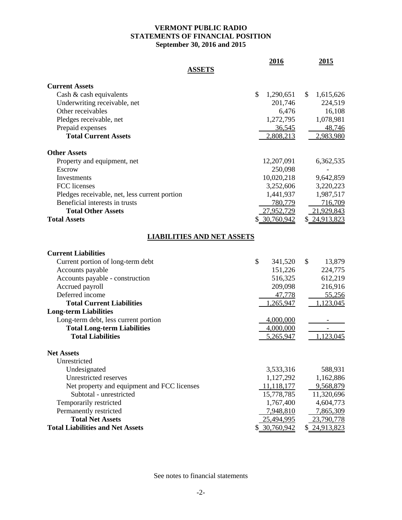# **VERMONT PUBLIC RADIO STATEMENTS OF FINANCIAL POSITION September 30, 2016 and 2015**

|                                               | 2016            | 2015            |
|-----------------------------------------------|-----------------|-----------------|
| <b>ASSETS</b>                                 |                 |                 |
| <b>Current Assets</b>                         |                 |                 |
| Cash $\&$ cash equivalents                    | \$<br>1,290,651 | \$<br>1,615,626 |
| Underwriting receivable, net                  | 201,746         | 224,519         |
| Other receivables                             | 6,476           | 16,108          |
| Pledges receivable, net                       | 1,272,795       | 1,078,981       |
| Prepaid expenses                              | 36,545          | 48,746          |
| <b>Total Current Assets</b>                   | 2,808,213       | 2,983,980       |
| <b>Other Assets</b>                           |                 |                 |
| Property and equipment, net                   | 12,207,091      | 6,362,535       |
| Escrow                                        | 250,098         |                 |
| Investments                                   | 10,020,218      | 9,642,859       |
| FCC licenses                                  | 3,252,606       | 3,220,223       |
| Pledges receivable, net, less current portion | 1,441,937       | 1,987,517       |
| Beneficial interests in trusts                | 780,779         | 716,709         |
| <b>Total Other Assets</b>                     | 27,952,729      | 21,929,843      |
| <b>Total Assets</b>                           | \$ 30,760,942   | \$24,913,823    |
| <b>LIABILITIES AND NET ASSETS</b>             |                 |                 |
| <b>Current Liabilities</b>                    |                 |                 |
| Current portion of long-term debt             | \$<br>341,520   | \$<br>13,879    |
| Accounts payable                              | 151,226         | 224,775         |
| Accounts payable - construction               | 516,325         | 612,219         |
| Accrued payroll                               | 209,098         | 216,916         |
| Deferred income                               | 47,778          | 55,256          |
| <b>Total Current Liabilities</b>              | 1,265,947       | 1,123,045       |
| <b>Long-term Liabilities</b>                  |                 |                 |
| Long-term debt, less current portion          | 4,000,000       |                 |
| <b>Total Long-term Liabilities</b>            | 4,000,000       |                 |
| <b>Total Liabilities</b>                      | 5,265,947       | 1,123,045       |
| <b>Net Assets</b>                             |                 |                 |
| Unrestricted                                  |                 |                 |
| Undesignated                                  | 3,533,316       | 588,931         |
| Unrestricted reserves                         | 1,127,292       | 1,162,886       |
| Net property and equipment and FCC licenses   | 11,118,177      | 9,568,879       |
| Subtotal - unrestricted                       | 15,778,785      | 11,320,696      |
| Temporarily restricted                        | 1,767,400       | 4,604,773       |
| Permanently restricted                        | 7,948,810       | 7,865,309       |
| <b>Total Net Assets</b>                       | 25,494,995      | 23,790,778      |
| <b>Total Liabilities and Net Assets</b>       | \$ 30,760,942   | \$24,913,823    |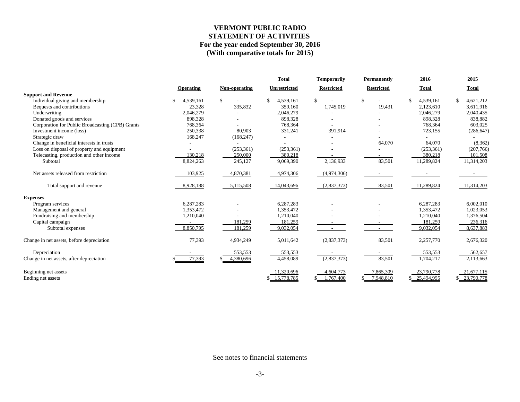# **VERMONT PUBLIC RADIO STATEMENT OF ACTIVITIES For the year ended September 30, 2016 (With comparative totals for 2015)**

|                                                  |           |               | <b>Total</b>        | Temporarily       | Permanently       | 2016            | 2015         |
|--------------------------------------------------|-----------|---------------|---------------------|-------------------|-------------------|-----------------|--------------|
|                                                  | Operating | Non-operating | <b>Unrestricted</b> | <b>Restricted</b> | <b>Restricted</b> | <b>Total</b>    | <b>Total</b> |
| <b>Support and Revenue</b>                       |           |               |                     |                   |                   |                 |              |
| Individual giving and membership                 | 4,539,161 | S.            | \$<br>4,539,161     | \$                | \$                | 4,539,161<br>S. | 4,621,212    |
| Bequests and contributions                       | 23,328    | 335,832       | 359.160             | 1,745,019         | 19,431            | 2,123,610       | 3,611,916    |
| Underwriting                                     | 2,046,279 |               | 2,046,279           |                   |                   | 2,046,279       | 2,040,435    |
| Donated goods and services                       | 898,328   |               | 898,328             |                   |                   | 898,328         | 838,882      |
| Corporation for Public Broadcasting (CPB) Grants | 768,364   |               | 768,364             |                   |                   | 768,364         | 603,025      |
| Investment income (loss)                         | 250,338   | 80,903        | 331,241             | 391,914           |                   | 723,155         | (286, 647)   |
| Strategic draw                                   | 168,247   | (168, 247)    |                     |                   |                   |                 |              |
| Change in beneficial interests in trusts         |           |               |                     |                   | 64,070            | 64,070          | (8,362)      |
| Loss on disposal of property and equipment       |           | (253, 361)    | (253, 361)          |                   |                   | (253, 361)      | (207,766)    |
| Telecasting, production and other income         | 130,218   | 250,000       | 380,218             |                   |                   | 380,218         | 101,508      |
| Subtotal                                         | 8,824,263 | 245,127       | 9,069,390           | 2,136,933         | 83,501            | 11,289,824      | 11,314,203   |
| Net assets released from restriction             | 103,925   | 4,870,381     | 4,974,306           | (4,974,306)       |                   |                 |              |
| Total support and revenue                        | 8,928,188 | 5,115,508     | 14,043,696          | (2,837,373)       | 83,501            | 11,289,824      | 11,314,203   |
| <b>Expenses</b>                                  |           |               |                     |                   |                   |                 |              |
| Program services                                 | 6,287,283 |               | 6,287,283           |                   |                   | 6,287,283       | 6,002,010    |
| Management and general                           | 1.353.472 |               | 1.353.472           |                   |                   | 1,353,472       | 1,023,053    |
| Fundraising and membership                       | 1,210,040 |               | 1,210,040           |                   |                   | 1,210,040       | 1,376,504    |
| Capital campaign                                 |           | 181,259       | 181,259             |                   |                   | 181,259         | 236,316      |
| Subtotal expenses                                | 8,850,795 | 181,259       | 9,032,054           | $\sim$            |                   | 9,032,054       | 8,637,883    |
| Change in net assets, before depreciation        | 77,393    | 4,934,249     | 5,011,642           | (2,837,373)       | 83,501            | 2,257,770       | 2,676,320    |
| Depreciation                                     |           | 553,553       | 553,553             |                   |                   | 553,553         | 562,657      |
| Change in net assets, after depreciation         | 77,393    | 4,380,696     | 4,458,089           | (2,837,373)       | 83,501            | 1,704,217       | 2,113,663    |
| Beginning net assets                             |           |               | 11,320,696          | 4,604,773         | 7,865,309         | 23,790,778      | 21,677,115   |
| Ending net assets                                |           |               | \$15,778,785        | 1,767,400         | 7,948,810         | 25,494,995      | 23,790,778   |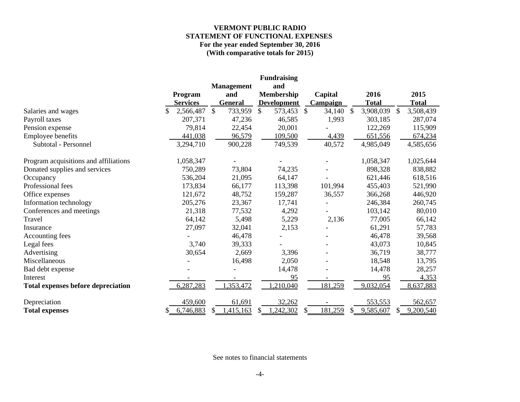# **VERMONT PUBLIC RADIO STATEMENT OF FUNCTIONAL EXPENSES For the year ended September 30, 2016 (With comparative totals for 2015)**

|                                           |                 |    |                   | <b>Fundraising</b> |               |                 |                 |     |              |
|-------------------------------------------|-----------------|----|-------------------|--------------------|---------------|-----------------|-----------------|-----|--------------|
|                                           |                 |    | <b>Management</b> | and                |               |                 |                 |     |              |
|                                           | Program         |    | and               | Membership         |               | Capital         | 2016            |     | 2015         |
|                                           | <b>Services</b> |    | <b>General</b>    | <b>Development</b> |               | <b>Campaign</b> | <b>Total</b>    |     | <b>Total</b> |
| Salaries and wages                        | 2,566,487       | \$ | 733,959           | \$<br>573,453      | $\frac{1}{2}$ | 34,140          | \$<br>3,908,039 | \$  | 3,508,439    |
| Payroll taxes                             | 207,371         |    | 47,236            | 46,585             |               | 1,993           | 303,185         |     | 287,074      |
| Pension expense                           | 79,814          |    | 22,454            | 20,001             |               |                 | 122,269         |     | 115,909      |
| Employee benefits                         | 441,038         |    | 96,579            | 109,500            |               | 4,439           | 651,556         |     | 674,234      |
| Subtotal - Personnel                      | 3,294,710       |    | 900,228           | 749,539            |               | 40,572          | 4,985,049       |     | 4,585,656    |
| Program acquisitions and affiliations     | 1,058,347       |    |                   |                    |               |                 | 1,058,347       |     | 1,025,644    |
| Donated supplies and services             | 750,289         |    | 73,804            | 74,235             |               |                 | 898,328         |     | 838,882      |
| Occupancy                                 | 536,204         |    | 21,095            | 64,147             |               |                 | 621,446         |     | 618,516      |
| Professional fees                         | 173,834         |    | 66,177            | 113,398            |               | 101,994         | 455,403         |     | 521,990      |
| Office expenses                           | 121,672         |    | 48,752            | 159,287            |               | 36,557          | 366,268         |     | 446,920      |
| Information technology                    | 205,276         |    | 23,367            | 17,741             |               |                 | 246,384         |     | 260,745      |
| Conferences and meetings                  | 21,318          |    | 77,532            | 4,292              |               |                 | 103,142         |     | 80,010       |
| Travel                                    | 64,142          |    | 5,498             | 5,229              |               | 2,136           | 77,005          |     | 66,142       |
| Insurance                                 | 27,097          |    | 32,041            | 2,153              |               |                 | 61,291          |     | 57,783       |
| Accounting fees                           |                 |    | 46,478            |                    |               |                 | 46,478          |     | 39,568       |
| Legal fees                                | 3,740           |    | 39,333            |                    |               |                 | 43,073          |     | 10,845       |
| Advertising                               | 30,654          |    | 2,669             | 3,396              |               |                 | 36,719          |     | 38,777       |
| Miscellaneous                             |                 |    | 16,498            | 2,050              |               |                 | 18,548          |     | 13,795       |
| Bad debt expense                          |                 |    |                   | 14,478             |               |                 | 14,478          |     | 28,257       |
| Interest                                  |                 |    |                   | 95                 |               |                 | 95              |     | 4,353        |
| <b>Total expenses before depreciation</b> | 6,287,283       |    | 353,472           | ,210,040           |               | 181,259         | 9,032,054       |     | 8,637,883    |
| Depreciation                              | 459,600         |    | 61,691            | 32,262             |               |                 | 553,553         |     | 562,657      |
| <b>Total expenses</b>                     | \$<br>6,746,883 | S  | 1,415,163         | \$<br>,242,302     | \$            | 181,259         | \$<br>9,585,607 | \$. | 9,200,540    |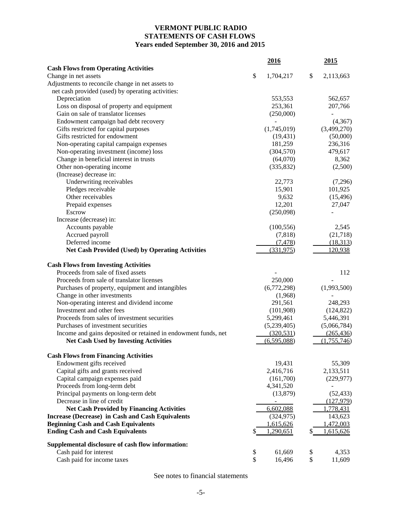# **VERMONT PUBLIC RADIO STATEMENTS OF CASH FLOWS Years ended September 30, 2016 and 2015**

|                                                                | 2016             | 2015                |
|----------------------------------------------------------------|------------------|---------------------|
| <b>Cash Flows from Operating Activities</b>                    |                  |                     |
| Change in net assets                                           | \$<br>1,704,217  | \$<br>2,113,663     |
| Adjustments to reconcile change in net assets to               |                  |                     |
| net cash provided (used) by operating activities:              |                  |                     |
| Depreciation                                                   | 553,553          | 562,657             |
| Loss on disposal of property and equipment                     | 253,361          | 207,766             |
| Gain on sale of translator licenses                            | (250,000)        |                     |
| Endowment campaign bad debt recovery                           |                  | (4, 367)            |
| Gifts restricted for capital purposes                          | (1,745,019)      | (3,499,270)         |
| Gifts restricted for endowment                                 | (19, 431)        | (50,000)            |
| Non-operating capital campaign expenses                        | 181,259          | 236,316             |
| Non-operating investment (income) loss                         | (304, 570)       | 479,617             |
| Change in beneficial interest in trusts                        | (64,070)         | 8,362               |
| Other non-operating income<br>(Increase) decrease in:          | (335, 832)       | (2,500)             |
|                                                                |                  |                     |
| Underwriting receivables<br>Pledges receivable                 | 22,773<br>15,901 | (7,296)<br>101,925  |
| Other receivables                                              | 9,632            |                     |
| Prepaid expenses                                               | 12,201           | (15, 496)<br>27,047 |
| Escrow                                                         | (250,098)        |                     |
| Increase (decrease) in:                                        |                  |                     |
| Accounts payable                                               | (100, 556)       | 2,545               |
| Accrued payroll                                                | (7,818)          | (21,718)            |
| Deferred income                                                | (7, 478)         | (18, 313)           |
| <b>Net Cash Provided (Used) by Operating Activities</b>        | (331,975)        | 120,938             |
|                                                                |                  |                     |
| <b>Cash Flows from Investing Activities</b>                    |                  |                     |
| Proceeds from sale of fixed assets                             |                  | 112                 |
| Proceeds from sale of translator licenses                      | 250,000          |                     |
| Purchases of property, equipment and intangibles               | (6,772,298)      | (1,993,500)         |
| Change in other investments                                    | (1,968)          |                     |
| Non-operating interest and dividend income                     | 291,561          | 248,293             |
| Investment and other fees                                      | (101,908)        | (124, 822)          |
| Proceeds from sales of investment securities                   | 5,299,461        | 5,446,391           |
| Purchases of investment securities                             | (5,239,405)      | (5,066,784)         |
| Income and gains deposited or retained in endowment funds, net | (320, 531)       | (265, 436)          |
| <b>Net Cash Used by Investing Activities</b>                   | (6,595,088)      | (1,755,746)         |
| <b>Cash Flows from Financing Activities</b>                    |                  |                     |
| Endowment gifts received                                       | 19,431           | 55,309              |
| Capital gifts and grants received                              | 2,416,716        | 2,133,511           |
| Capital campaign expenses paid                                 | (161,700)        | (229, 977)          |
| Proceeds from long-term debt                                   | 4,341,520        |                     |
| Principal payments on long-term debt                           | (13,879)         | (52, 433)           |
| Decrease in line of credit                                     |                  | (127, 979)          |
| <b>Net Cash Provided by Financing Activities</b>               | 6,602,088        | 1,778,431           |
| <b>Increase (Decrease) in Cash and Cash Equivalents</b>        | (324, 975)       | 143,623             |
| <b>Beginning Cash and Cash Equivalents</b>                     | 1,615,626        | 1,472,003           |
| <b>Ending Cash and Cash Equivalents</b>                        | 1,290,651        | 1,615,626           |
| Supplemental disclosure of cash flow information:              |                  |                     |
| Cash paid for interest                                         | \$<br>61,669     | \$<br>4,353         |
| Cash paid for income taxes                                     | \$<br>16,496     | \$<br>11,609        |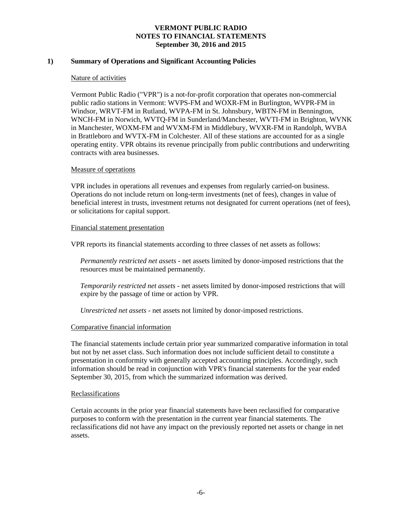# **1) Summary of Operations and Significant Accounting Policies**

### Nature of activities

Vermont Public Radio ("VPR") is a not-for-profit corporation that operates non-commercial public radio stations in Vermont: WVPS-FM and WOXR-FM in Burlington, WVPR-FM in Windsor, WRVT-FM in Rutland, WVPA-FM in St. Johnsbury, WBTN-FM in Bennington, WNCH-FM in Norwich, WVTQ-FM in Sunderland/Manchester, WVTI-FM in Brighton, WVNK in Manchester, WOXM-FM and WVXM-FM in Middlebury, WVXR-FM in Randolph, WVBA in Brattleboro and WVTX-FM in Colchester. All of these stations are accounted for as a single operating entity. VPR obtains its revenue principally from public contributions and underwriting contracts with area businesses.

### Measure of operations

VPR includes in operations all revenues and expenses from regularly carried-on business. Operations do not include return on long-term investments (net of fees), changes in value of beneficial interest in trusts, investment returns not designated for current operations (net of fees), or solicitations for capital support.

### Financial statement presentation

VPR reports its financial statements according to three classes of net assets as follows:

*Permanently restricted net assets -* net assets limited by donor-imposed restrictions that the resources must be maintained permanently*.*

*Temporarily restricted net assets -* net assets limited by donor-imposed restrictions that will expire by the passage of time or action by VPR.

*Unrestricted net assets -* net assets not limited by donor-imposed restrictions.

# Comparative financial information

The financial statements include certain prior year summarized comparative information in total but not by net asset class. Such information does not include sufficient detail to constitute a presentation in conformity with generally accepted accounting principles. Accordingly, such information should be read in conjunction with VPR's financial statements for the year ended September 30, 2015, from which the summarized information was derived.

### Reclassifications

Certain accounts in the prior year financial statements have been reclassified for comparative purposes to conform with the presentation in the current year financial statements. The reclassifications did not have any impact on the previously reported net assets or change in net assets.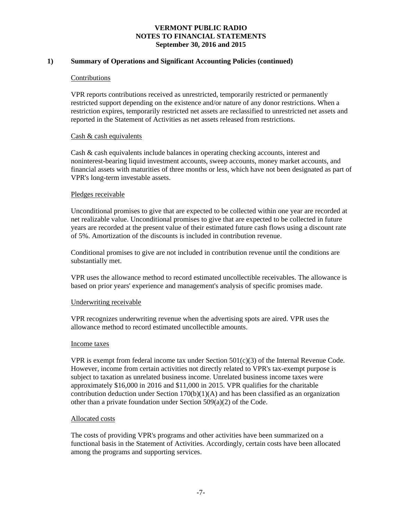# **1) Summary of Operations and Significant Accounting Policies (continued)**

### Contributions

VPR reports contributions received as unrestricted, temporarily restricted or permanently restricted support depending on the existence and/or nature of any donor restrictions. When a restriction expires, temporarily restricted net assets are reclassified to unrestricted net assets and reported in the Statement of Activities as net assets released from restrictions.

### Cash & cash equivalents

Cash & cash equivalents include balances in operating checking accounts, interest and noninterest-bearing liquid investment accounts, sweep accounts, money market accounts, and financial assets with maturities of three months or less, which have not been designated as part of VPR's long-term investable assets.

### Pledges receivable

Unconditional promises to give that are expected to be collected within one year are recorded at net realizable value. Unconditional promises to give that are expected to be collected in future years are recorded at the present value of their estimated future cash flows using a discount rate of 5%. Amortization of the discounts is included in contribution revenue.

Conditional promises to give are not included in contribution revenue until the conditions are substantially met.

VPR uses the allowance method to record estimated uncollectible receivables. The allowance is based on prior years' experience and management's analysis of specific promises made.

# Underwriting receivable

VPR recognizes underwriting revenue when the advertising spots are aired. VPR uses the allowance method to record estimated uncollectible amounts.

### Income taxes

VPR is exempt from federal income tax under Section  $501(c)(3)$  of the Internal Revenue Code. However, income from certain activities not directly related to VPR's tax-exempt purpose is subject to taxation as unrelated business income. Unrelated business income taxes were approximately \$16,000 in 2016 and \$11,000 in 2015. VPR qualifies for the charitable contribution deduction under Section  $170(b)(1)(A)$  and has been classified as an organization other than a private foundation under Section 509(a)(2) of the Code.

### Allocated costs

The costs of providing VPR's programs and other activities have been summarized on a functional basis in the Statement of Activities. Accordingly, certain costs have been allocated among the programs and supporting services.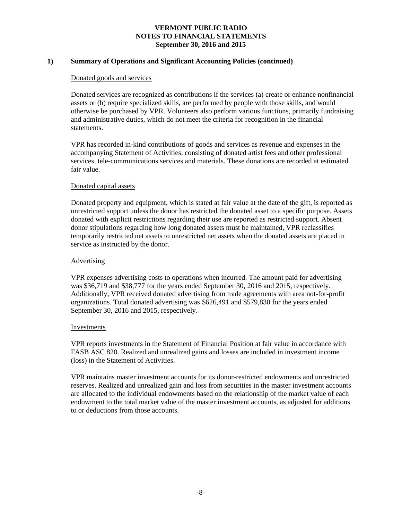# **1) Summary of Operations and Significant Accounting Policies (continued)**

### Donated goods and services

Donated services are recognized as contributions if the services (a) create or enhance nonfinancial assets or (b) require specialized skills, are performed by people with those skills, and would otherwise be purchased by VPR. Volunteers also perform various functions, primarily fundraising and administrative duties, which do not meet the criteria for recognition in the financial statements.

VPR has recorded in-kind contributions of goods and services as revenue and expenses in the accompanying Statement of Activities, consisting of donated artist fees and other professional services, tele-communications services and materials. These donations are recorded at estimated fair value.

### Donated capital assets

Donated property and equipment, which is stated at fair value at the date of the gift, is reported as unrestricted support unless the donor has restricted the donated asset to a specific purpose. Assets donated with explicit restrictions regarding their use are reported as restricted support. Absent donor stipulations regarding how long donated assets must be maintained, VPR reclassifies temporarily restricted net assets to unrestricted net assets when the donated assets are placed in service as instructed by the donor.

### Advertising

VPR expenses advertising costs to operations when incurred. The amount paid for advertising was \$36,719 and \$38,777 for the years ended September 30, 2016 and 2015, respectively. Additionally, VPR received donated advertising from trade agreements with area not-for-profit organizations. Total donated advertising was \$626,491 and \$579,830 for the years ended September 30, 2016 and 2015, respectively.

### Investments

VPR reports investments in the Statement of Financial Position at fair value in accordance with FASB ASC 820. Realized and unrealized gains and losses are included in investment income (loss) in the Statement of Activities.

VPR maintains master investment accounts for its donor-restricted endowments and unrestricted reserves. Realized and unrealized gain and loss from securities in the master investment accounts are allocated to the individual endowments based on the relationship of the market value of each endowment to the total market value of the master investment accounts, as adjusted for additions to or deductions from those accounts.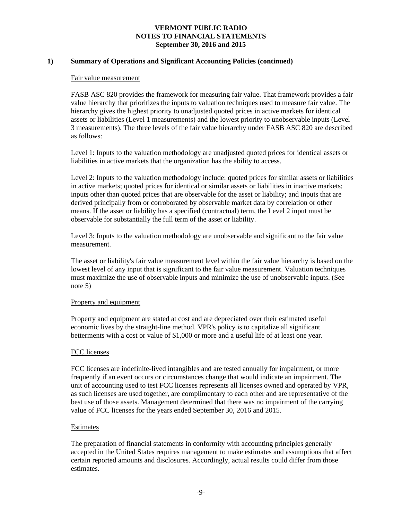## **1) Summary of Operations and Significant Accounting Policies (continued)**

#### Fair value measurement

FASB ASC 820 provides the framework for measuring fair value. That framework provides a fair value hierarchy that prioritizes the inputs to valuation techniques used to measure fair value. The hierarchy gives the highest priority to unadjusted quoted prices in active markets for identical assets or liabilities (Level 1 measurements) and the lowest priority to unobservable inputs (Level 3 measurements). The three levels of the fair value hierarchy under FASB ASC 820 are described as follows:

Level 1: Inputs to the valuation methodology are unadjusted quoted prices for identical assets or liabilities in active markets that the organization has the ability to access.

Level 2: Inputs to the valuation methodology include: quoted prices for similar assets or liabilities in active markets; quoted prices for identical or similar assets or liabilities in inactive markets; inputs other than quoted prices that are observable for the asset or liability; and inputs that are derived principally from or corroborated by observable market data by correlation or other means. If the asset or liability has a specified (contractual) term, the Level 2 input must be observable for substantially the full term of the asset or liability.

Level 3: Inputs to the valuation methodology are unobservable and significant to the fair value measurement.

The asset or liability's fair value measurement level within the fair value hierarchy is based on the lowest level of any input that is significant to the fair value measurement. Valuation techniques must maximize the use of observable inputs and minimize the use of unobservable inputs. (See note 5)

### Property and equipment

Property and equipment are stated at cost and are depreciated over their estimated useful economic lives by the straight-line method. VPR's policy is to capitalize all significant betterments with a cost or value of \$1,000 or more and a useful life of at least one year.

### FCC licenses

FCC licenses are indefinite-lived intangibles and are tested annually for impairment, or more frequently if an event occurs or circumstances change that would indicate an impairment. The unit of accounting used to test FCC licenses represents all licenses owned and operated by VPR, as such licenses are used together, are complimentary to each other and are representative of the best use of those assets. Management determined that there was no impairment of the carrying value of FCC licenses for the years ended September 30, 2016 and 2015.

# Estimates

The preparation of financial statements in conformity with accounting principles generally accepted in the United States requires management to make estimates and assumptions that affect certain reported amounts and disclosures. Accordingly, actual results could differ from those estimates.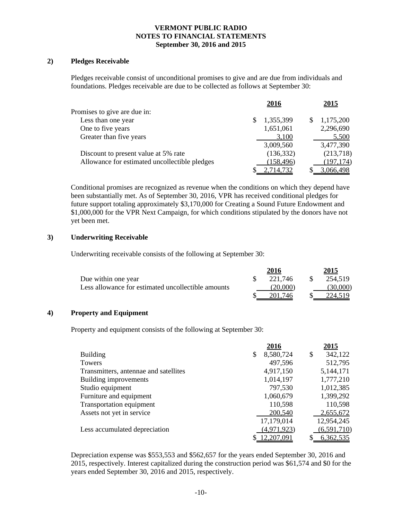### **2) Pledges Receivable**

Pledges receivable consist of unconditional promises to give and are due from individuals and foundations. Pledges receivable are due to be collected as follows at September 30:

|                                               | 2016       | 2015       |
|-----------------------------------------------|------------|------------|
| Promises to give are due in:                  |            |            |
| Less than one year                            | 1,355,399  | 1,175,200  |
| One to five years                             | 1,651,061  | 2,296,690  |
| Greater than five years                       | 3,100      | 5,500      |
|                                               | 3,009,560  | 3,477,390  |
| Discount to present value at 5% rate          | (136, 332) | (213,718)  |
| Allowance for estimated uncollectible pledges | (158, 496) | (197, 174) |
|                                               | 2,714,732  | 3,066,498  |

Conditional promises are recognized as revenue when the conditions on which they depend have been substantially met. As of September 30, 2016, VPR has received conditional pledges for future support totaling approximately \$3,170,000 for Creating a Sound Future Endowment and \$1,000,000 for the VPR Next Campaign, for which conditions stipulated by the donors have not yet been met.

# **3) Underwriting Receivable**

Underwriting receivable consists of the following at September 30:

|                                                    | 2016     | 2015     |
|----------------------------------------------------|----------|----------|
| Due within one year                                | 221.746  | 254,519  |
| Less allowance for estimated uncollectible amounts | (20,000) | (30.000) |
|                                                    | 201.746  | 224.519  |

# **4) Property and Equipment**

Property and equipment consists of the following at September 30:

|                                       | 2016            | 2015          |
|---------------------------------------|-----------------|---------------|
| <b>Building</b>                       | \$<br>8,580,724 | \$<br>342,122 |
| Towers                                | 497,596         | 512,795       |
| Transmitters, antennae and satellites | 4,917,150       | 5,144,171     |
| Building improvements                 | 1,014,197       | 1,777,210     |
| Studio equipment                      | 797,530         | 1,012,385     |
| Furniture and equipment               | 1,060,679       | 1,399,292     |
| Transportation equipment              | 110,598         | 110,598       |
| Assets not yet in service             | 200,540         | 2,655,672     |
|                                       | 17,179,014      | 12,954,245    |
| Less accumulated depreciation         | (4,971,923)     | (6,591,710)   |
|                                       | \$12,207,091    | 6,362,535     |

Depreciation expense was \$553,553 and \$562,657 for the years ended September 30, 2016 and 2015, respectively. Interest capitalized during the construction period was \$61,574 and \$0 for the years ended September 30, 2016 and 2015, respectively.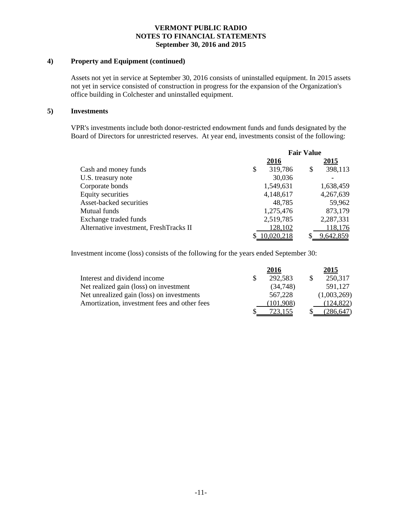### **4) Property and Equipment (continued)**

Assets not yet in service at September 30, 2016 consists of uninstalled equipment. In 2015 assets not yet in service consisted of construction in progress for the expansion of the Organization's office building in Colchester and uninstalled equipment.

### **5) Investments**

VPR's investments include both donor-restricted endowment funds and funds designated by the Board of Directors for unrestricted reserves. At year end, investments consist of the following:

|                                        | <b>Fair Value</b> |            |    |           |
|----------------------------------------|-------------------|------------|----|-----------|
|                                        |                   | 2016       |    | 2015      |
| Cash and money funds                   | \$                | 319,786    | \$ | 398,113   |
| U.S. treasury note                     |                   | 30,036     |    |           |
| Corporate bonds                        |                   | 1,549,631  |    | 1,638,459 |
| Equity securities                      |                   | 4,148,617  |    | 4,267,639 |
| Asset-backed securities                |                   | 48,785     |    | 59,962    |
| Mutual funds                           |                   | 1,275,476  |    | 873,179   |
| Exchange traded funds                  |                   | 2,519,785  |    | 2,287,331 |
| Alternative investment, FreshTracks II |                   | 128,102    |    | 118,176   |
|                                        |                   | 10,020,218 |    | 9,642,859 |

Investment income (loss) consists of the following for the years ended September 30:

|                                              | 2016      | 2015        |
|----------------------------------------------|-----------|-------------|
| Interest and dividend income                 | 292,583   | 250,317     |
| Net realized gain (loss) on investment       | (34,748)  | 591,127     |
| Net unrealized gain (loss) on investments    | 567,228   | (1,003,269) |
| Amortization, investment fees and other fees | (101,908) | (124, 822)  |
|                                              |           | (286,647)   |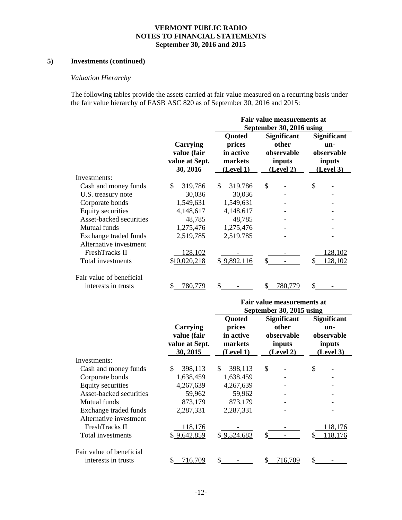# **5) Investments (continued)**

# *Valuation Hierarchy*

The following tables provide the assets carried at fair value measured on a recurring basis under the fair value hierarchy of FASB ASC 820 as of September 30, 2016 and 2015:

|                          |                | Fair value measurements at |                    |                    |  |  |  |  |
|--------------------------|----------------|----------------------------|--------------------|--------------------|--|--|--|--|
|                          |                | September 30, 2016 using   |                    |                    |  |  |  |  |
|                          |                | Quoted                     | <b>Significant</b> | <b>Significant</b> |  |  |  |  |
|                          | Carrying       | prices                     | other              | un-                |  |  |  |  |
|                          | value (fair    | in active                  | observable         | observable         |  |  |  |  |
|                          | value at Sept. | markets                    | inputs             | inputs             |  |  |  |  |
|                          | 30, 2016       | (Level 1)                  | (Level 2)          | (Level 3)          |  |  |  |  |
| Investments:             |                |                            |                    |                    |  |  |  |  |
| Cash and money funds     | 319,786<br>\$  | \$.<br>319,786             | \$                 | \$                 |  |  |  |  |
| U.S. treasury note       | 30,036         | 30,036                     |                    |                    |  |  |  |  |
| Corporate bonds          | 1,549,631      | 1,549,631                  |                    |                    |  |  |  |  |
| <b>Equity securities</b> | 4,148,617      | 4,148,617                  |                    |                    |  |  |  |  |
| Asset-backed securities  | 48,785         | 48,785                     |                    |                    |  |  |  |  |
| Mutual funds             | 1,275,476      | 1,275,476                  |                    |                    |  |  |  |  |
| Exchange traded funds    | 2,519,785      | 2,519,785                  |                    |                    |  |  |  |  |
| Alternative investment   |                |                            |                    |                    |  |  |  |  |
| FreshTracks II           | 128,102        |                            |                    | 128.102            |  |  |  |  |
| Total investments        | \$10,020,218   | \$9,892,116                | \$                 | 128,102            |  |  |  |  |
| Fair value of beneficial |                |                            |                    |                    |  |  |  |  |
| interests in trusts      | S<br>780.779   | \$                         | 780,779            |                    |  |  |  |  |

|                                                 |                                                       | Fair value measurements at<br>September 30, 2015 using |                                                                  |                                                                |  |  |  |  |
|-------------------------------------------------|-------------------------------------------------------|--------------------------------------------------------|------------------------------------------------------------------|----------------------------------------------------------------|--|--|--|--|
|                                                 | Carrying<br>value (fair<br>value at Sept.<br>30, 2015 | Quoted<br>prices<br>in active<br>markets<br>(Level 1)  | <b>Significant</b><br>other<br>observable<br>inputs<br>(Level 2) | <b>Significant</b><br>un-<br>observable<br>inputs<br>(Level 3) |  |  |  |  |
| Investments:                                    |                                                       |                                                        |                                                                  |                                                                |  |  |  |  |
| Cash and money funds                            | \$.<br>398,113                                        | \$<br>398,113                                          | \$                                                               | \$                                                             |  |  |  |  |
| Corporate bonds                                 | 1,638,459                                             | 1,638,459                                              |                                                                  |                                                                |  |  |  |  |
| Equity securities                               | 4,267,639                                             | 4,267,639                                              |                                                                  |                                                                |  |  |  |  |
| Asset-backed securities                         | 59,962                                                | 59,962                                                 |                                                                  |                                                                |  |  |  |  |
| Mutual funds                                    | 873,179                                               | 873,179                                                |                                                                  |                                                                |  |  |  |  |
| Exchange traded funds<br>Alternative investment | 2,287,331                                             | 2,287,331                                              |                                                                  |                                                                |  |  |  |  |
| FreshTracks II                                  | <u>118,176</u>                                        |                                                        |                                                                  | 118,176                                                        |  |  |  |  |
| Total investments                               | \$9,642,859                                           | \$9,524,683                                            | \$.                                                              | 118,176                                                        |  |  |  |  |
| Fair value of beneficial                        |                                                       |                                                        |                                                                  |                                                                |  |  |  |  |
| interests in trusts                             | 716,709<br>\$                                         | \$                                                     | 716,709                                                          |                                                                |  |  |  |  |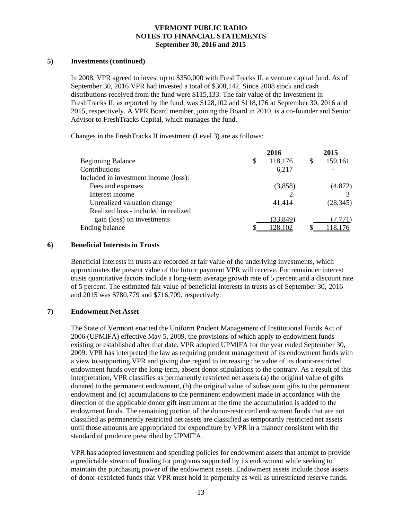## **5) Investments (continued)**

In 2008, VPR agreed to invest up to \$350,000 with FreshTracks II, a venture capital fund. As of September 30, 2016 VPR had invested a total of \$308,142. Since 2008 stock and cash distributions received from the fund were \$115,133. The fair value of the Investment in FreshTracks II, as reported by the fund, was \$128,102 and \$118,176 at September 30, 2016 and 2015, respectively. A VPR Board member, joining the Board in 2010, is a co-founder and Senior Advisor to FreshTracks Capital, which manages the fund.

Changes in the FreshTracks II investment (Level 3) are as follows:

|                                       | 2016          | 2015      |
|---------------------------------------|---------------|-----------|
| <b>Beginning Balance</b>              | \$<br>118,176 | 159,161   |
| Contributions                         | 6,217         |           |
| Included in investment income (loss): |               |           |
| Fees and expenses                     | (3,858)       | (4,872)   |
| Interest income                       |               |           |
| Unrealized valuation change           | 41,414        | (28, 345) |
| Realized loss - included in realized  |               |           |
| gain (loss) on investments            | (33, 849)     | (7,771)   |
| Ending balance                        | 128,102       | 118.176   |

### **6) Beneficial Interests in Trusts**

Beneficial interests in trusts are recorded at fair value of the underlying investments, which approximates the present value of the future payment VPR will receive. For remainder interest trusts quantitative factors include a long-term average growth rate of 5 percent and a discount rate of 5 percent. The estimated fair value of beneficial interests in trusts as of September 30, 2016 and 2015 was \$780,779 and \$716,709, respectively.

# **7) Endowment Net Asset**

The State of Vermont enacted the Uniform Prudent Management of Institutional Funds Act of 2006 (UPMIFA) effective May 5, 2009, the provisions of which apply to endowment funds existing or established after that date. VPR adopted UPMIFA for the year ended September 30, 2009. VPR has interpreted the law as requiring prudent management of its endowment funds with a view to supporting VPR and giving due regard to increasing the value of its donor-restricted endowment funds over the long-term, absent donor stipulations to the contrary. As a result of this interpretation, VPR classifies as permanently restricted net assets (a) the original value of gifts donated to the permanent endowment, (b) the original value of subsequent gifts to the permanent endowment and (c) accumulations to the permanent endowment made in accordance with the direction of the applicable donor gift instrument at the time the accumulation is added to the endowment funds. The remaining portion of the donor-restricted endowment funds that are not classified as permanently restricted net assets are classified as temporarily restricted net assets until those amounts are appropriated for expenditure by VPR in a manner consistent with the standard of prudence prescribed by UPMIFA.

VPR has adopted investment and spending policies for endowment assets that attempt to provide a predictable stream of funding for programs supported by its endowment while seeking to maintain the purchasing power of the endowment assets. Endowment assets include those assets of donor-restricted funds that VPR must hold in perpetuity as well as unrestricted reserve funds.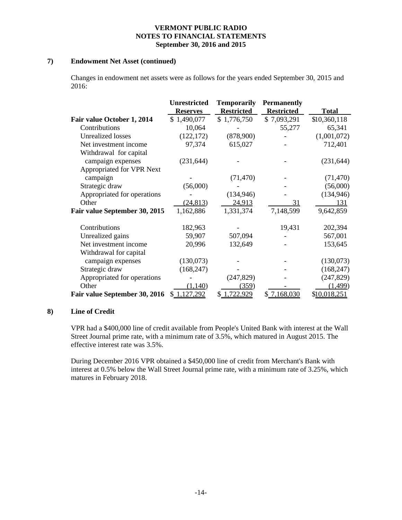### **7) Endowment Net Asset (continued)**

Changes in endowment net assets were as follows for the years ended September 30, 2015 and 2016:

|                               | <b>Unrestricted</b> | <b>Temporarily</b> | <b>Permanently</b> |              |
|-------------------------------|---------------------|--------------------|--------------------|--------------|
|                               | <b>Reserves</b>     | <b>Restricted</b>  | <b>Restricted</b>  | <b>Total</b> |
| Fair value October 1, 2014    | \$1,490,077         | \$1,776,750        | \$7,093,291        | \$10,360,118 |
| Contributions                 | 10,064              |                    | 55,277             | 65,341       |
| <b>Unrealized losses</b>      | (122, 172)          | (878,900)          |                    | (1,001,072)  |
| Net investment income         | 97,374              | 615,027            |                    | 712,401      |
| Withdrawal for capital        |                     |                    |                    |              |
| campaign expenses             | (231, 644)          |                    |                    | (231, 644)   |
| Appropriated for VPR Next     |                     |                    |                    |              |
| campaign                      |                     | (71, 470)          |                    | (71, 470)    |
| Strategic draw                | (56,000)            |                    |                    | (56,000)     |
| Appropriated for operations   |                     | (134, 946)         |                    | (134, 946)   |
| Other                         | (24, 813)           | 24,913             | 31                 | 131          |
| Fair value September 30, 2015 | 1,162,886           | 1,331,374          | 7,148,599          | 9,642,859    |
| Contributions                 | 182,963             |                    | 19,431             | 202,394      |
| Unrealized gains              | 59,907              | 507,094            |                    | 567,001      |
| Net investment income         | 20,996              | 132,649            |                    | 153,645      |
| Withdrawal for capital        |                     |                    |                    |              |
| campaign expenses             | (130,073)           |                    |                    | (130,073)    |
| Strategic draw                | (168, 247)          |                    |                    | (168, 247)   |
| Appropriated for operations   |                     | (247, 829)         |                    | (247, 829)   |
| Other                         | (1,140)             | (359)              |                    | (1, 499)     |
| Fair value September 30, 2016 | \$1,127,292         | 1,722,929          | \$ 7,168,030       | \$10,018,251 |

## **8) Line of Credit**

VPR had a \$400,000 line of credit available from People's United Bank with interest at the Wall Street Journal prime rate, with a minimum rate of 3.5%, which matured in August 2015. The effective interest rate was 3.5%.

During December 2016 VPR obtained a \$450,000 line of credit from Merchant's Bank with interest at 0.5% below the Wall Street Journal prime rate, with a minimum rate of 3.25%, which matures in February 2018.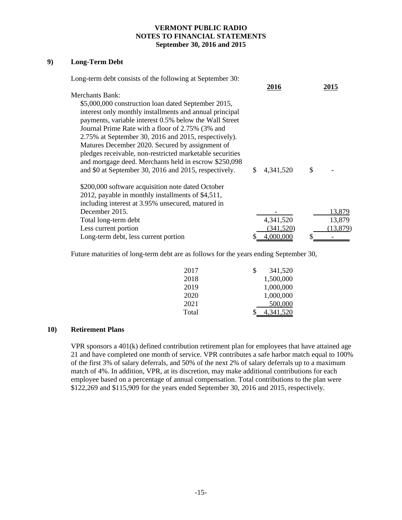# **9) Long-Term Debt**

| Long-term debt consists of the following at September 30: |    |             |           |
|-----------------------------------------------------------|----|-------------|-----------|
|                                                           |    | <u>2016</u> | 2015      |
| Merchants Bank:                                           |    |             |           |
| \$5,000,000 construction loan dated September 2015,       |    |             |           |
| interest only monthly installments and annual principal   |    |             |           |
| payments, variable interest 0.5% below the Wall Street    |    |             |           |
| Journal Prime Rate with a floor of 2.75% (3% and          |    |             |           |
| 2.75% at September 30, 2016 and 2015, respectively).      |    |             |           |
| Matures December 2020. Secured by assignment of           |    |             |           |
| pledges receivable, non-restricted marketable securities  |    |             |           |
| and mortgage deed. Merchants held in escrow \$250,098     |    |             |           |
| and \$0 at September 30, 2016 and 2015, respectively.     | S. | 4,341,520   | \$        |
| \$200,000 software acquisition note dated October         |    |             |           |
| 2012, payable in monthly installments of \$4,511,         |    |             |           |
| including interest at 3.95% unsecured, matured in         |    |             |           |
| December 2015.                                            |    |             | 13,879    |
| Total long-term debt                                      |    | 4,341,520   | 13,879    |
| Less current portion                                      |    | (341.520)   | (13, 879) |
| Long-term debt, less current portion                      |    | 4.000.000   |           |

Future maturities of long-term debt are as follows for the years ending September 30,

| 2017  | \$<br>341,520   |
|-------|-----------------|
| 2018  | 1,500,000       |
| 2019  | 1,000,000       |
| 2020  | 1,000,000       |
| 2021  | 500,000         |
| Total | \$<br>4,341,520 |

# **10) Retirement Plans**

VPR sponsors a 401(k) defined contribution retirement plan for employees that have attained age 21 and have completed one month of service. VPR contributes a safe harbor match equal to 100% of the first 3% of salary deferrals, and 50% of the next 2% of salary deferrals up to a maximum match of 4%. In addition, VPR, at its discretion, may make additional contributions for each employee based on a percentage of annual compensation. Total contributions to the plan were \$122,269 and \$115,909 for the years ended September 30, 2016 and 2015, respectively.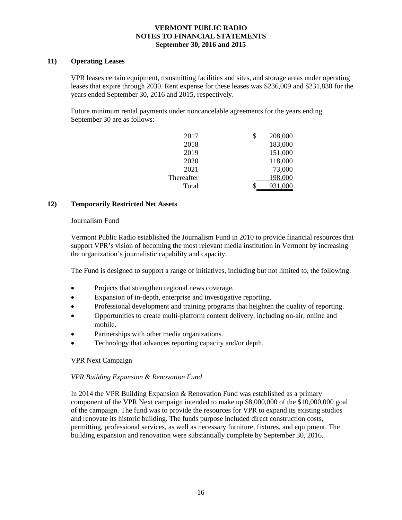## **11) Operating Leases**

VPR leases certain equipment, transmitting facilities and sites, and storage areas under operating leases that expire through 2030. Rent expense for these leases was \$236,009 and \$231,830 for the years ended September 30, 2016 and 2015, respectively.

Future minimum rental payments under noncancelable agreements for the years ending September 30 are as follows:

| 2017       | 208,000<br>\$ |  |
|------------|---------------|--|
| 2018       | 183,000       |  |
| 2019       | 151,000       |  |
| 2020       | 118,000       |  |
| 2021       | 73,000        |  |
| Thereafter | 198,000       |  |
| Total      | 931,000       |  |

# **12) Temporarily Restricted Net Assets**

### Journalism Fund

Vermont Public Radio established the Journalism Fund in 2010 to provide financial resources that support VPR's vision of becoming the most relevant media institution in Vermont by increasing the organization's journalistic capability and capacity.

The Fund is designed to support a range of initiatives, including but not limited to, the following:

- Projects that strengthen regional news coverage.
- Expansion of in-depth, enterprise and investigative reporting.
- Professional development and training programs that heighten the quality of reporting.
- Opportunities to create multi-platform content delivery, including on-air, online and mobile.
- Partnerships with other media organizations.
- Technology that advances reporting capacity and/or depth.

# VPR Next Campaign

# *VPR Building Expansion & Renovation Fund*

In 2014 the VPR Building Expansion & Renovation Fund was established as a primary component of the VPR Next campaign intended to make up \$8,000,000 of the \$10,000,000 goal of the campaign. The fund was to provide the resources for VPR to expand its existing studios and renovate its historic building. The funds purpose included direct construction costs, permitting, professional services, as well as necessary furniture, fixtures, and equipment. The building expansion and renovation were substantially complete by September 30, 2016.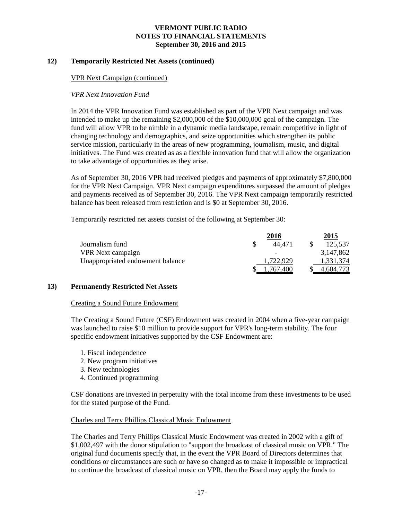### **12) Temporarily Restricted Net Assets (continued)**

### VPR Next Campaign (continued)

### *VPR Next Innovation Fund*

In 2014 the VPR Innovation Fund was established as part of the VPR Next campaign and was intended to make up the remaining \$2,000,000 of the \$10,000,000 goal of the campaign. The fund will allow VPR to be nimble in a dynamic media landscape, remain competitive in light of changing technology and demographics, and seize opportunities which strengthen its public service mission, particularly in the areas of new programming, journalism, music, and digital initiatives. The Fund was created as as a flexible innovation fund that will allow the organization to take advantage of opportunities as they arise.

As of September 30, 2016 VPR had received pledges and payments of approximately \$7,800,000 for the VPR Next Campaign. VPR Next campaign expenditures surpassed the amount of pledges and payments received as of September 30, 2016. The VPR Next campaign temporarily restricted balance has been released from restriction and is \$0 at September 30, 2016.

Temporarily restricted net assets consist of the following at September 30:

|                                  | 2016      | 2015      |
|----------------------------------|-----------|-----------|
| Journalism fund                  | 44.471    | 125,537   |
| <b>VPR</b> Next campaign         |           | 3,147,862 |
| Unappropriated endowment balance | 1.722.929 | 1,331,374 |
|                                  | .767.400  | 4.604.773 |

### **13) Permanently Restricted Net Assets**

### Creating a Sound Future Endowment

The Creating a Sound Future (CSF) Endowment was created in 2004 when a five-year campaign was launched to raise \$10 million to provide support for VPR's long-term stability. The four specific endowment initiatives supported by the CSF Endowment are:

- 1. Fiscal independence
- 2. New program initiatives
- 3. New technologies
- 4. Continued programming

CSF donations are invested in perpetuity with the total income from these investments to be used for the stated purpose of the Fund.

### Charles and Terry Phillips Classical Music Endowment

The Charles and Terry Phillips Classical Music Endowment was created in 2002 with a gift of \$1,002,497 with the donor stipulation to "support the broadcast of classical music on VPR." The original fund documents specify that, in the event the VPR Board of Directors determines that conditions or circumstances are such or have so changed as to make it impossible or impractical to continue the broadcast of classical music on VPR, then the Board may apply the funds to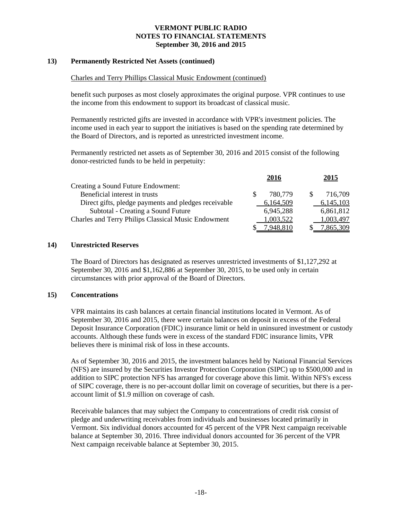## **13) Permanently Restricted Net Assets (continued)**

### Charles and Terry Phillips Classical Music Endowment (continued)

benefit such purposes as most closely approximates the original purpose. VPR continues to use the income from this endowment to support its broadcast of classical music.

Permanently restricted gifts are invested in accordance with VPR's investment policies. The income used in each year to support the initiatives is based on the spending rate determined by the Board of Directors, and is reported as unrestricted investment income.

Permanently restricted net assets as of September 30, 2016 and 2015 consist of the following donor-restricted funds to be held in perpetuity:

|                                                      | 2016      | 2015      |
|------------------------------------------------------|-----------|-----------|
| Creating a Sound Future Endowment:                   |           |           |
| Beneficial interest in trusts                        | 780.779   | 716,709   |
| Direct gifts, pledge payments and pledges receivable | 6,164,509 | 6,145,103 |
| Subtotal - Creating a Sound Future                   | 6,945,288 | 6,861,812 |
| Charles and Terry Philips Classical Music Endowment  | 1,003,522 | 1,003,497 |
|                                                      | 7,948,810 | 7,865,309 |

### **14) Unrestricted Reserves**

The Board of Directors has designated as reserves unrestricted investments of \$1,127,292 at September 30, 2016 and \$1,162,886 at September 30, 2015, to be used only in certain circumstances with prior approval of the Board of Directors.

### **15) Concentrations**

VPR maintains its cash balances at certain financial institutions located in Vermont. As of September 30, 2016 and 2015, there were certain balances on deposit in excess of the Federal Deposit Insurance Corporation (FDIC) insurance limit or held in uninsured investment or custody accounts. Although these funds were in excess of the standard FDIC insurance limits, VPR believes there is minimal risk of loss in these accounts.

As of September 30, 2016 and 2015, the investment balances held by National Financial Services (NFS) are insured by the Securities Investor Protection Corporation (SIPC) up to \$500,000 and in addition to SIPC protection NFS has arranged for coverage above this limit. Within NFS's excess of SIPC coverage, there is no per-account dollar limit on coverage of securities, but there is a peraccount limit of \$1.9 million on coverage of cash.

Receivable balances that may subject the Company to concentrations of credit risk consist of pledge and underwriting receivables from individuals and businesses located primarily in Vermont. Six individual donors accounted for 45 percent of the VPR Next campaign receivable balance at September 30, 2016. Three individual donors accounted for 36 percent of the VPR Next campaign receivable balance at September 30, 2015.